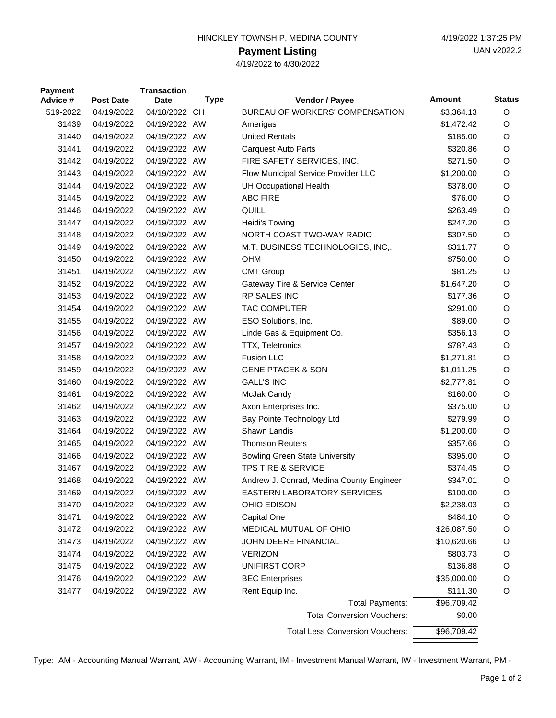| HINCKLEY TOWNSHIP, MEDINA COUNTY |  |
|----------------------------------|--|
|                                  |  |

## **Payment Listing**

4/19/2022 to 4/30/2022

| <b>Payment</b><br>Advice # | <b>Post Date</b> | <b>Transaction</b><br><b>Date</b> | <b>Type</b> | Vendor / Payee                           | Amount      | <b>Status</b> |
|----------------------------|------------------|-----------------------------------|-------------|------------------------------------------|-------------|---------------|
| 519-2022                   | 04/19/2022       | 04/18/2022 CH                     |             | BUREAU OF WORKERS' COMPENSATION          | \$3,364.13  | $\circ$       |
| 31439                      | 04/19/2022       | 04/19/2022 AW                     |             | Amerigas                                 | \$1,472.42  | O             |
| 31440                      | 04/19/2022       | 04/19/2022 AW                     |             | <b>United Rentals</b>                    | \$185.00    | O             |
| 31441                      | 04/19/2022       | 04/19/2022 AW                     |             | <b>Carquest Auto Parts</b>               | \$320.86    | O             |
| 31442                      | 04/19/2022       | 04/19/2022 AW                     |             | FIRE SAFETY SERVICES, INC.               | \$271.50    | O             |
| 31443                      | 04/19/2022       | 04/19/2022 AW                     |             | Flow Municipal Service Provider LLC      | \$1,200.00  | O             |
| 31444                      | 04/19/2022       | 04/19/2022 AW                     |             | <b>UH Occupational Health</b>            | \$378.00    | O             |
| 31445                      | 04/19/2022       | 04/19/2022 AW                     |             | <b>ABC FIRE</b>                          | \$76.00     | O             |
| 31446                      | 04/19/2022       | 04/19/2022 AW                     |             | QUILL                                    | \$263.49    | O             |
| 31447                      | 04/19/2022       | 04/19/2022 AW                     |             | Heidi's Towing                           | \$247.20    | O             |
| 31448                      | 04/19/2022       | 04/19/2022 AW                     |             | NORTH COAST TWO-WAY RADIO                | \$307.50    | O             |
| 31449                      | 04/19/2022       | 04/19/2022 AW                     |             | M.T. BUSINESS TECHNOLOGIES, INC,.        | \$311.77    | O             |
| 31450                      | 04/19/2022       | 04/19/2022 AW                     |             | <b>OHM</b>                               | \$750.00    | O             |
| 31451                      | 04/19/2022       | 04/19/2022 AW                     |             | <b>CMT Group</b>                         | \$81.25     | O             |
| 31452                      | 04/19/2022       | 04/19/2022 AW                     |             | Gateway Tire & Service Center            | \$1,647.20  | O             |
| 31453                      | 04/19/2022       | 04/19/2022 AW                     |             | RP SALES INC                             | \$177.36    | O             |
| 31454                      | 04/19/2022       | 04/19/2022 AW                     |             | <b>TAC COMPUTER</b>                      | \$291.00    | O             |
| 31455                      | 04/19/2022       | 04/19/2022 AW                     |             | ESO Solutions, Inc.                      | \$89.00     | O             |
| 31456                      | 04/19/2022       | 04/19/2022 AW                     |             | Linde Gas & Equipment Co.                | \$356.13    | O             |
| 31457                      | 04/19/2022       | 04/19/2022 AW                     |             | <b>TTX, Teletronics</b>                  | \$787.43    | O             |
| 31458                      | 04/19/2022       | 04/19/2022 AW                     |             | <b>Fusion LLC</b>                        | \$1,271.81  | O             |
| 31459                      | 04/19/2022       | 04/19/2022 AW                     |             | <b>GENE PTACEK &amp; SON</b>             | \$1,011.25  | O             |
| 31460                      | 04/19/2022       | 04/19/2022 AW                     |             | <b>GALL'S INC</b>                        | \$2,777.81  | O             |
| 31461                      | 04/19/2022       | 04/19/2022 AW                     |             | McJak Candy                              | \$160.00    | O             |
| 31462                      | 04/19/2022       | 04/19/2022 AW                     |             | Axon Enterprises Inc.                    | \$375.00    | O             |
| 31463                      | 04/19/2022       | 04/19/2022 AW                     |             | Bay Pointe Technology Ltd                | \$279.99    | O             |
| 31464                      | 04/19/2022       | 04/19/2022 AW                     |             | Shawn Landis                             | \$1,200.00  | O             |
| 31465                      | 04/19/2022       | 04/19/2022 AW                     |             | <b>Thomson Reuters</b>                   | \$357.66    | O             |
| 31466                      | 04/19/2022       | 04/19/2022 AW                     |             | <b>Bowling Green State University</b>    | \$395.00    | O             |
| 31467                      | 04/19/2022       | 04/19/2022 AW                     |             | TPS TIRE & SERVICE                       | \$374.45    | O             |
| 31468                      | 04/19/2022       | 04/19/2022 AW                     |             | Andrew J. Conrad, Medina County Engineer | \$347.01    | O             |
| 31469                      | 04/19/2022       | 04/19/2022 AW                     |             | <b>EASTERN LABORATORY SERVICES</b>       | \$100.00    | O             |
| 31470                      | 04/19/2022       | 04/19/2022 AW                     |             | OHIO EDISON                              | \$2,238.03  | O             |
| 31471                      | 04/19/2022       | 04/19/2022 AW                     |             | Capital One                              | \$484.10    | O             |
| 31472                      | 04/19/2022       | 04/19/2022 AW                     |             | MEDICAL MUTUAL OF OHIO                   | \$26,087.50 | O             |
| 31473                      | 04/19/2022       | 04/19/2022 AW                     |             | JOHN DEERE FINANCIAL                     | \$10,620.66 | O             |
| 31474                      | 04/19/2022       | 04/19/2022 AW                     |             | <b>VERIZON</b>                           | \$803.73    | O             |
| 31475                      | 04/19/2022       | 04/19/2022 AW                     |             | UNIFIRST CORP                            | \$136.88    | O             |
| 31476                      | 04/19/2022       | 04/19/2022 AW                     |             | <b>BEC Enterprises</b>                   | \$35,000.00 | O             |
| 31477                      | 04/19/2022       | 04/19/2022 AW                     |             | Rent Equip Inc.                          | \$111.30    | O             |
| <b>Total Payments:</b>     |                  | \$96,709.42                       |             |                                          |             |               |
|                            |                  |                                   |             | <b>Total Conversion Vouchers:</b>        | \$0.00      |               |
|                            |                  |                                   |             | <b>Total Less Conversion Vouchers:</b>   | \$96,709.42 |               |

Type: AM - Accounting Manual Warrant, AW - Accounting Warrant, IM - Investment Manual Warrant, IW - Investment Warrant, PM -